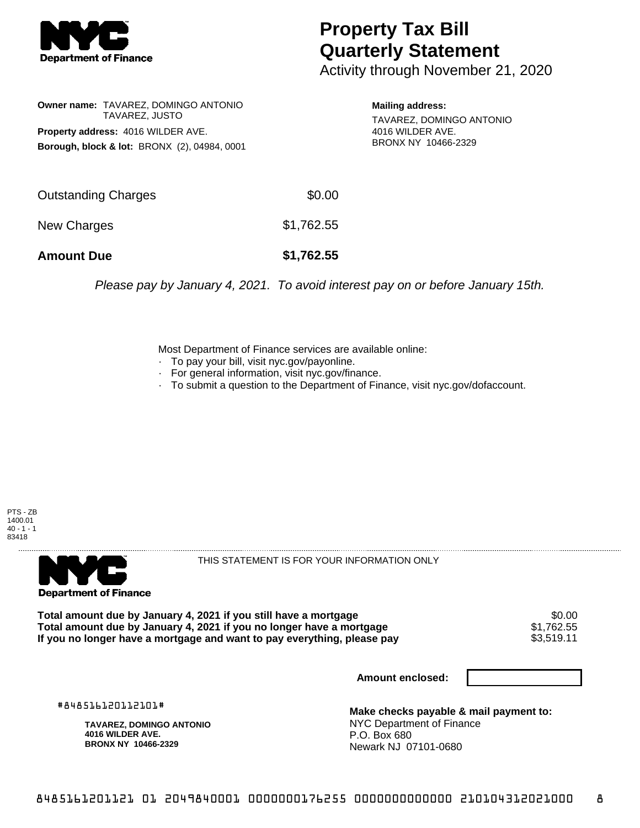

## **Property Tax Bill Quarterly Statement**

Activity through November 21, 2020

**Owner name:** TAVAREZ, DOMINGO ANTONIO TAVAREZ, JUSTO **Property address:** 4016 WILDER AVE. **Borough, block & lot:** BRONX (2), 04984, 0001 **Mailing address:**

TAVAREZ, DOMINGO ANTONIO 4016 WILDER AVE. BRONX NY 10466-2329

| <b>Amount Due</b>   | \$1,762.55 |
|---------------------|------------|
| New Charges         | \$1,762.55 |
| Outstanding Charges | \$0.00     |

Please pay by January 4, 2021. To avoid interest pay on or before January 15th.

Most Department of Finance services are available online:

- · To pay your bill, visit nyc.gov/payonline.
- For general information, visit nyc.gov/finance.
- · To submit a question to the Department of Finance, visit nyc.gov/dofaccount.

PTS - ZB 1400.01  $40 - 1 - 1$ 83418



THIS STATEMENT IS FOR YOUR INFORMATION ONLY

Total amount due by January 4, 2021 if you still have a mortgage \$0.00<br>Total amount due by January 4, 2021 if you no longer have a mortgage \$1.762.55 **Total amount due by January 4, 2021 if you no longer have a mortgage**  $$1,762.55$ **<br>If you no longer have a mortgage and want to pay everything, please pay <b>show that the summan set of the s**3,519.11 If you no longer have a mortgage and want to pay everything, please pay

**Amount enclosed:**

#848516120112101#

**TAVAREZ, DOMINGO ANTONIO 4016 WILDER AVE. BRONX NY 10466-2329**

**Make checks payable & mail payment to:** NYC Department of Finance P.O. Box 680 Newark NJ 07101-0680